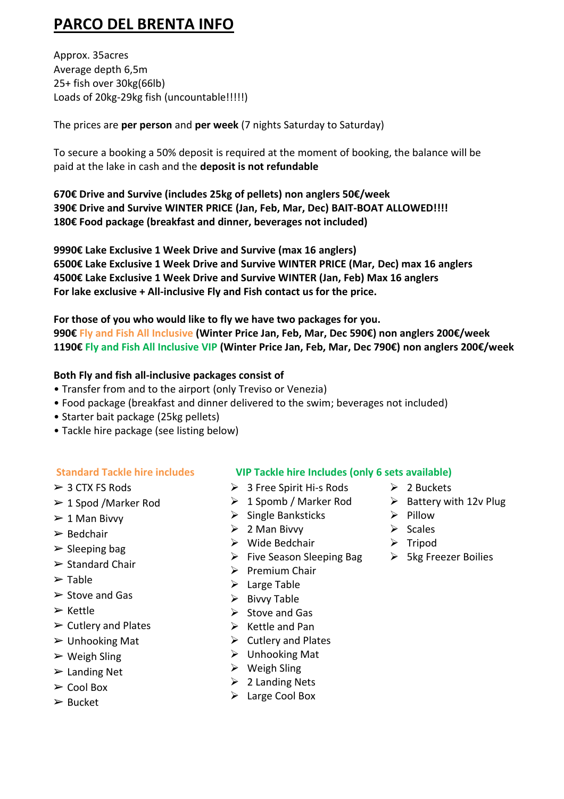# **PARCO DEL BRENTA INFO**

Approx. 35acres Average depth 6,5m 25+ fish over 30kg(66lb) Loads of 20kg-29kg fish (uncountable!!!!!)

The prices are **per person** and **per week** (7 nights Saturday to Saturday)

To secure a booking a 50% deposit is required at the moment of booking, the balance will be paid at the lake in cash and the **deposit is not refundable**

**670€ Drive and Survive (includes 25kg of pellets) non anglers 50€/week 390€ Drive and Survive WINTER PRICE (Jan, Feb, Mar, Dec) BAIT-BOAT ALLOWED!!!! 180€ Food package (breakfast and dinner, beverages not included)**

**9990€ Lake Exclusive 1 Week Drive and Survive (max 16 anglers) 6500€ Lake Exclusive 1 Week Drive and Survive WINTER PRICE (Mar, Dec) max 16 anglers 4500€ Lake Exclusive 1 Week Drive and Survive WINTER (Jan, Feb) Max 16 anglers For lake exclusive + All-inclusive Fly and Fish contact us for the price.**

**For those of you who would like to fly we have two packages for you. 990€ Fly and Fish All Inclusive (Winter Price Jan, Feb, Mar, Dec 590€) non anglers 200€/week 1190€ Fly and Fish All Inclusive VIP (Winter Price Jan, Feb, Mar, Dec 790€) non anglers 200€/week**

### **Both Fly and fish all-inclusive packages consist of**

- Transfer from and to the airport (only Treviso or Venezia)
- Food package (breakfast and dinner delivered to the swim; beverages not included)
- Starter bait package (25kg pellets)
- Tackle hire package (see listing below)

- $>$  3 CTX FS Rods
- $\geq 1$  Spod /Marker Rod
- $\geq 1$  Man Bivvy
- $>$  Bedchair
- $\triangleright$  Sleeping bag
- $\triangleright$  Standard Chair
- $\triangleright$  Table
- $\triangleright$  Stove and Gas
- ➢ Kettle
- $\triangleright$  Cutlery and Plates
- $\triangleright$  Unhooking Mat
- $\triangleright$  Weigh Sling
- $\triangleright$  Landing Net
- $\triangleright$  Cool Box
- ➢ Bucket

#### **Standard Tackle hire includes VIP Tackle hire Includes (only 6 sets available)**

- ➢ 3 Free Spirit Hi-s Rods
- ➢ 1 Spomb / Marker Rod
- $\triangleright$  Single Banksticks
- $\geqslant$  2 Man Bivvy
- ➢ Wide Bedchair
- ➢ Five Season Sleeping Bag
- ➢ Premium Chair
- $\triangleright$  Large Table
- ➢ Bivvy Table
- $\triangleright$  Stove and Gas
- $\triangleright$  Kettle and Pan
- ➢ Cutlery and Plates
- $\triangleright$  Unhooking Mat
- $\triangleright$  Weigh Sling
- $\geqslant$  2 Landing Nets
- ➢ Large Cool Box
- $\geq 2$  Buckets
- $\triangleright$  Battery with 12v Plug
- ➢ Pillow
- ➢ Scales
- ➢ Tripod
- ➢ 5kg Freezer Boilies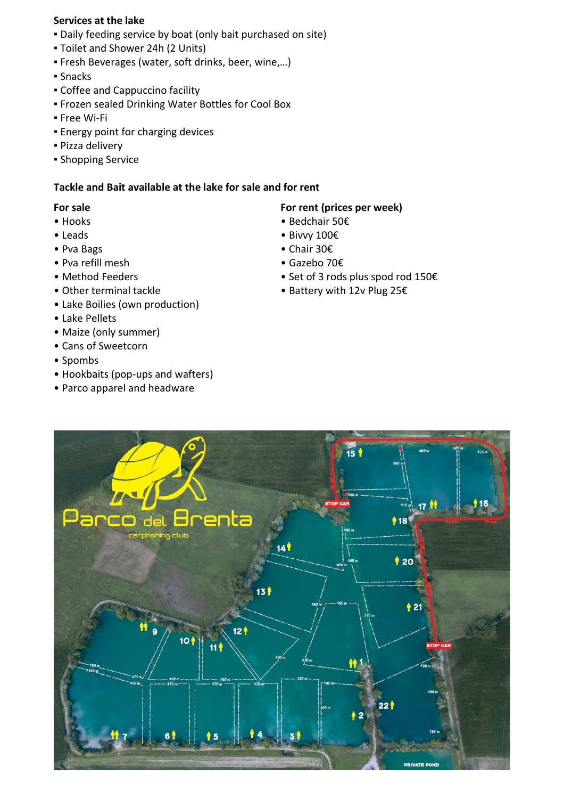#### **Services at the lake**

- Daily feeding service by boat (only bait purchased on site)
- Toilet and Shower 24h (2 Units)
- Fresh Beverages (water, soft drinks, beer, wine,…)
- Snacks
- Coffee and Cappuccino facility
- Frozen sealed Drinking Water Bottles for Cool Box
- Free Wi-Fi
- **Energy point for charging devices**
- Pizza delivery
- **Shopping Service**

#### **Tackle and Bait available at the lake for sale and for rent**

#### **For sale**

- Hooks
- Leads
- Pva Bags
- Pva refill mesh
- Method Feeders
- Other terminal tackle
- Lake Boilies (own production)
- Lake Pellets
- Maize (only summer)
- Cans of Sweetcorn
- Spombs
- Hookbaits (pop-ups and wafters)
- Parco apparel and headware

#### **For rent (prices per week)**

- Bedchair 50€
- Bivvy 100€
- Chair 30€
- Gazebo 70€
- Set of 3 rods plus spod rod 150€
- Battery with 12v Plug 25€